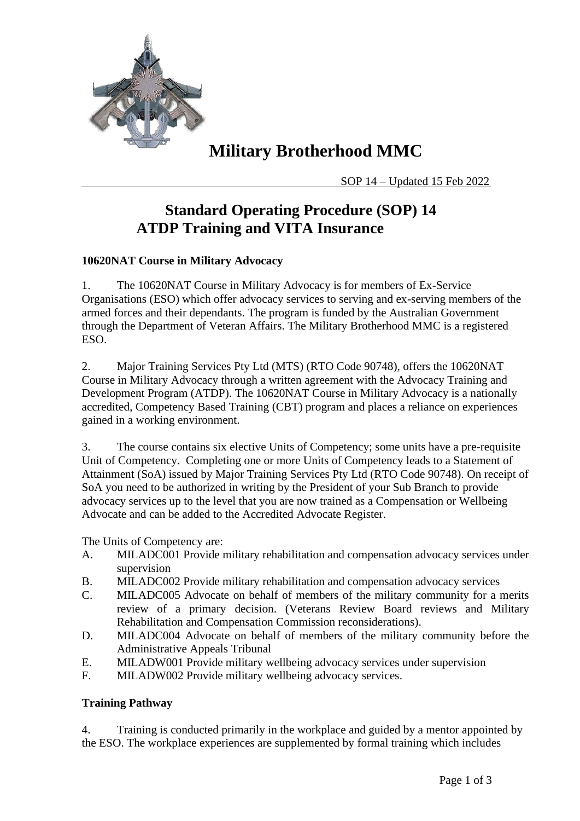

# **Military Brotherhood MMC**

SOP 14 – Updated 15 Feb 2022

### **Standard Operating Procedure (SOP) 14 ATDP Training and VITA Insurance**

### **10620NAT Course in Military Advocacy**

1. The 10620NAT Course in Military Advocacy is for members of Ex-Service Organisations (ESO) which offer advocacy services to serving and ex-serving members of the armed forces and their dependants. The program is funded by the Australian Government through the Department of Veteran Affairs. The Military Brotherhood MMC is a registered ESO.

2. Major Training Services Pty Ltd (MTS) (RTO Code 90748), offers the 10620NAT Course in Military Advocacy through a written agreement with the Advocacy Training and Development Program (ATDP). The 10620NAT Course in Military Advocacy is a nationally accredited, Competency Based Training (CBT) program and places a reliance on experiences gained in a working environment.

3. The course contains six elective Units of Competency; some units have a pre-requisite Unit of Competency. Completing one or more Units of Competency leads to a Statement of Attainment (SoA) issued by Major Training Services Pty Ltd (RTO Code 90748). On receipt of SoA you need to be authorized in writing by the President of your Sub Branch to provide advocacy services up to the level that you are now trained as a Compensation or Wellbeing Advocate and can be added to the Accredited Advocate Register.

The Units of Competency are:

- A. MILADC001 Provide military rehabilitation and compensation advocacy services under supervision
- B. MILADC002 Provide military rehabilitation and compensation advocacy services
- C. MILADC005 Advocate on behalf of members of the military community for a merits review of a primary decision. (Veterans Review Board reviews and Military Rehabilitation and Compensation Commission reconsiderations).
- D. MILADC004 Advocate on behalf of members of the military community before the Administrative Appeals Tribunal
- E. MILADW001 Provide military wellbeing advocacy services under supervision
- F. MILADW002 Provide military wellbeing advocacy services.

#### **Training Pathway**

4. Training is conducted primarily in the workplace and guided by a mentor appointed by the ESO. The workplace experiences are supplemented by formal training which includes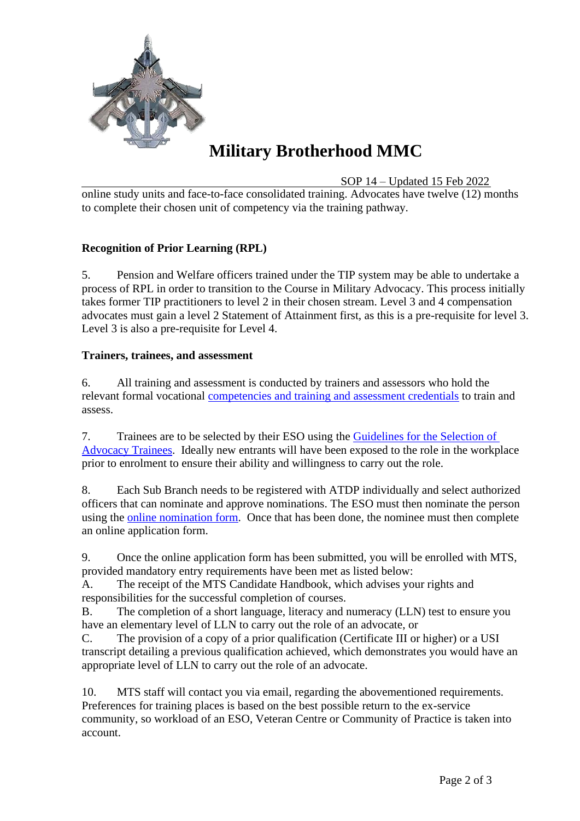

# **Military Brotherhood MMC**

SOP 14 – Updated 15 Feb 2022

online study units and face-to-face consolidated training. Advocates have twelve (12) months to complete their chosen unit of competency via the training pathway.

#### **Recognition of Prior Learning (RPL)**

5. Pension and Welfare officers trained under the TIP system may be able to undertake a process of RPL in order to transition to the Course in Military Advocacy. This process initially takes former TIP practitioners to level 2 in their chosen stream. Level 3 and 4 compensation advocates must gain a level 2 Statement of Attainment first, as this is a pre-requisite for level 3. Level 3 is also a pre-requisite for Level 4.

#### **Trainers, trainees, and assessment**

6. All training and assessment is conducted by trainers and assessors who hold the relevant formal vocational [competencies and training and assessment credentials](https://www.asqa.gov.au/standards/chapter-4/clauses-1.13-1.16) to train and assess.

7. Trainees are to be selected by their ESO using the [Guidelines for the Selection of](https://web.atdp.org.au/docs/pdf/guidelines.pdf)  [Advocacy Trainees.](https://web.atdp.org.au/docs/pdf/guidelines.pdf) Ideally new entrants will have been exposed to the role in the workplace prior to enrolment to ensure their ability and willingness to carry out the role.

8. Each Sub Branch needs to be registered with ATDP individually and select authorized officers that can nominate and approve nominations. The ESO must then nominate the person using the [online nomination form.](https://www.advocateregister.org.au/login.php) Once that has been done, the nominee must then complete an online application form.

9. Once the online application form has been submitted, you will be enrolled with MTS, provided mandatory entry requirements have been met as listed below:

A. The receipt of the MTS Candidate Handbook, which advises your rights and responsibilities for the successful completion of courses.

B. The completion of a short language, literacy and numeracy (LLN) test to ensure you have an elementary level of LLN to carry out the role of an advocate, or

C. The provision of a copy of a prior qualification (Certificate III or higher) or a USI transcript detailing a previous qualification achieved, which demonstrates you would have an appropriate level of LLN to carry out the role of an advocate.

10. MTS staff will contact you via email, regarding the abovementioned requirements. Preferences for training places is based on the best possible return to the ex-service community, so workload of an ESO, Veteran Centre or Community of Practice is taken into account.